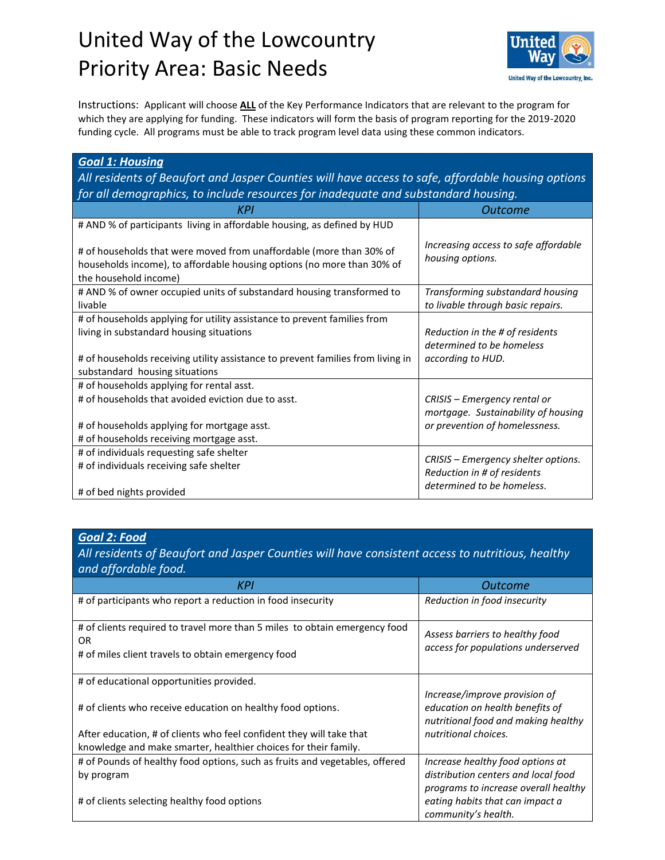## United Way of the Lowcountry Priority Area: Basic Needs



Instructions: Applicant will choose **ALL** of the Key Performance Indicators that are relevant to the program for which they are applying for funding. These indicators will form the basis of program reporting for the 2019-2020 funding cycle. All programs must be able to track program level data using these common indicators.

| <b>Goal 1: Housing</b>                                                                                                                                                                                                                    |                                                                                                       |  |
|-------------------------------------------------------------------------------------------------------------------------------------------------------------------------------------------------------------------------------------------|-------------------------------------------------------------------------------------------------------|--|
| All residents of Beaufort and Jasper Counties will have access to safe, affordable housing options                                                                                                                                        |                                                                                                       |  |
| for all demographics, to include resources for inadequate and substandard housing.                                                                                                                                                        |                                                                                                       |  |
| KPI                                                                                                                                                                                                                                       | Outcome                                                                                               |  |
| # AND % of participants living in affordable housing, as defined by HUD                                                                                                                                                                   |                                                                                                       |  |
| # of households that were moved from unaffordable (more than 30% of<br>households income), to affordable housing options (no more than 30% of<br>the household income)                                                                    | Increasing access to safe affordable<br>housing options.                                              |  |
| # AND % of owner occupied units of substandard housing transformed to<br>livable                                                                                                                                                          | Transforming substandard housing<br>to livable through basic repairs.                                 |  |
| # of households applying for utility assistance to prevent families from<br>living in substandard housing situations<br># of households receiving utility assistance to prevent families from living in<br>substandard housing situations | Reduction in the # of residents<br>determined to be homeless<br>according to HUD.                     |  |
| # of households applying for rental asst.<br># of households that avoided eviction due to asst.<br># of households applying for mortgage asst.<br># of households receiving mortgage asst.                                                | CRISIS - Emergency rental or<br>mortgage. Sustainability of housing<br>or prevention of homelessness. |  |
| # of individuals requesting safe shelter<br># of individuals receiving safe shelter<br># of bed nights provided                                                                                                                           | CRISIS – Emergency shelter options.<br>Reduction in # of residents<br>determined to be homeless.      |  |

## *Goal 2: Food*

*All residents of Beaufort and Jasper Counties will have consistent access to nutritious, healthy and affordable food.*

| KPI                                                                                                                                           | <b>Outcome</b>                                                                                          |
|-----------------------------------------------------------------------------------------------------------------------------------------------|---------------------------------------------------------------------------------------------------------|
| # of participants who report a reduction in food insecurity                                                                                   | Reduction in food insecurity                                                                            |
| # of clients required to travel more than 5 miles to obtain emergency food<br><b>OR</b><br># of miles client travels to obtain emergency food | Assess barriers to healthy food<br>access for populations underserved                                   |
| # of educational opportunities provided.                                                                                                      |                                                                                                         |
| # of clients who receive education on healthy food options.                                                                                   | Increase/improve provision of<br>education on health benefits of<br>nutritional food and making healthy |
| After education, # of clients who feel confident they will take that                                                                          | nutritional choices.                                                                                    |
| knowledge and make smarter, healthier choices for their family.                                                                               |                                                                                                         |
| # of Pounds of healthy food options, such as fruits and vegetables, offered                                                                   | Increase healthy food options at                                                                        |
| by program                                                                                                                                    | distribution centers and local food                                                                     |
| # of clients selecting healthy food options                                                                                                   | programs to increase overall healthy<br>eating habits that can impact a<br>community's health.          |